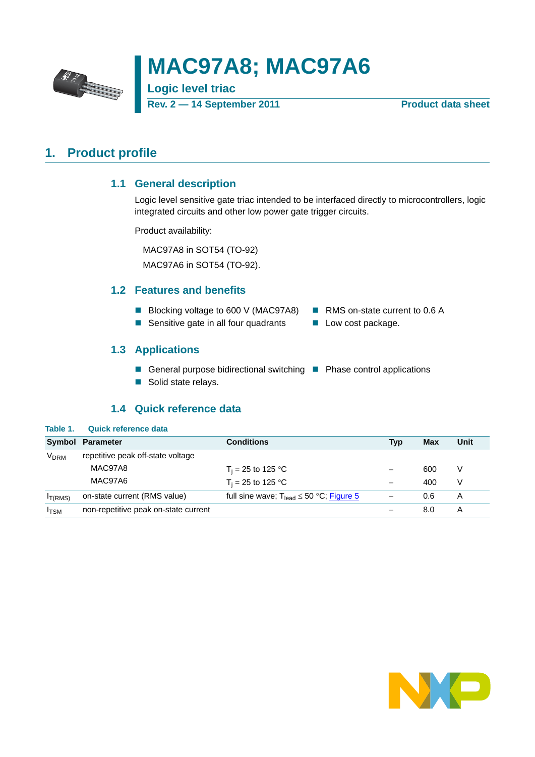

# **MAC97A8; MAC97A6**

**Logic level triac Rev. 2 — 14 September 2011 Product data sheet**

# <span id="page-0-1"></span><span id="page-0-0"></span>**1. Product profile**

## **1.1 General description**

Logic level sensitive gate triac intended to be interfaced directly to microcontrollers, logic integrated circuits and other low power gate trigger circuits.

Product availability:

MAC97A8 in SOT54 (TO-92)

MAC97A6 in SOT54 (TO-92).

## <span id="page-0-2"></span>**1.2 Features and benefits**

- Blocking voltage to 600 V (MAC97A8) **Now A** RMS on-state current to 0.6 A
- Sensitive gate in all four quadrants **EXCO** Low cost package.

## <span id="page-0-3"></span>**1.3 Applications**

- General purpose bidirectional switching **Phase control applications**
- Solid state relays.

### **1.4 Quick reference data**

### <span id="page-0-4"></span>**Table 1. Quick reference data**

|                  | Symbol Parameter                     | <b>Conditions</b>                              | Typ                      | Max | Unit |
|------------------|--------------------------------------|------------------------------------------------|--------------------------|-----|------|
| V <sub>DRM</sub> | repetitive peak off-state voltage    |                                                |                          |     |      |
|                  | MAC97A8                              | $T_i = 25$ to 125 °C                           | —                        | 600 | V    |
|                  | MAC97A6                              | $T_i = 25$ to 125 °C                           | $\overline{\phantom{0}}$ | 400 | V    |
| IT(RMS)          | on-state current (RMS value)         | full sine wave; $T_{lead} \le 50$ °C; Figure 5 | $\overline{\phantom{0}}$ | 0.6 | Α    |
| <sup>I</sup> TSM | non-repetitive peak on-state current |                                                | -                        | 8.0 | A    |

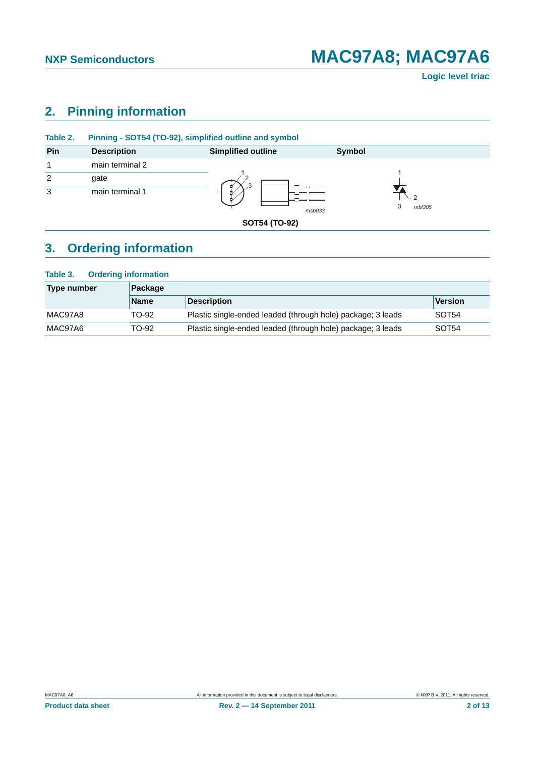# <span id="page-1-1"></span>**2. Pinning information**

| Table 2. | Pinning - SOT54 (TO-92), simplified outline and symbol |                           |                                    |  |  |  |
|----------|--------------------------------------------------------|---------------------------|------------------------------------|--|--|--|
| Pin      | <b>Description</b>                                     | <b>Simplified outline</b> | Symbol                             |  |  |  |
| 1        | main terminal 2                                        |                           |                                    |  |  |  |
| 2        | gate                                                   |                           |                                    |  |  |  |
| 3        | main terminal 1                                        |                           | $\Omega$<br>mbl305<br>$m$ sb $033$ |  |  |  |
|          |                                                        | SOT54 (TO-92)             |                                    |  |  |  |

# <span id="page-1-0"></span>**3. Ordering information**

### **Table 3. Ordering information**

| Type number | Package     |                                                             |                   |  |  |
|-------------|-------------|-------------------------------------------------------------|-------------------|--|--|
|             | <b>Name</b> | <b>Description</b>                                          | Version           |  |  |
| MAC97A8     | TO-92       | Plastic single-ended leaded (through hole) package; 3 leads | SOT <sub>54</sub> |  |  |
| MAC97A6     | TO-92       | Plastic single-ended leaded (through hole) package; 3 leads | SOT <sub>54</sub> |  |  |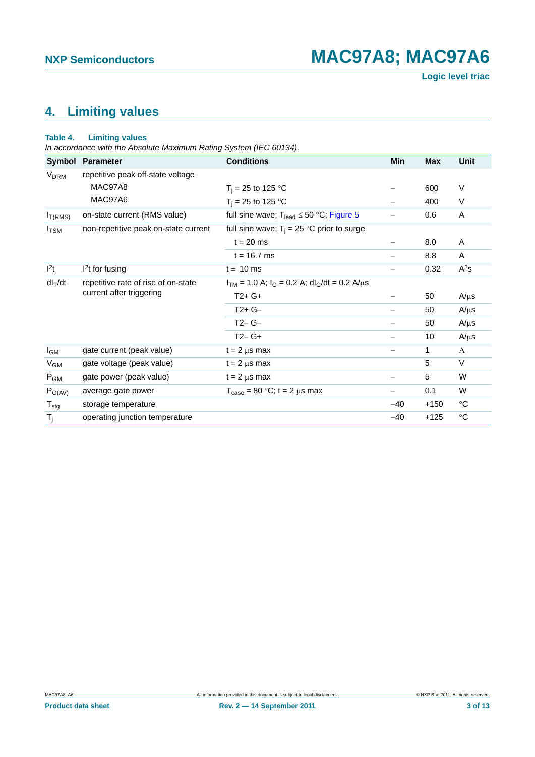# <span id="page-2-0"></span>**4. Limiting values**

### **Table 4. Limiting values**

*In accordance with the Absolute Maximum Rating System (IEC 60134).*

|                        | Symbol Parameter                                                | <b>Conditions</b>                                                     | Min   | <b>Max</b> | <b>Unit</b>     |
|------------------------|-----------------------------------------------------------------|-----------------------------------------------------------------------|-------|------------|-----------------|
| <b>V<sub>DRM</sub></b> | repetitive peak off-state voltage                               |                                                                       |       |            |                 |
|                        | MAC97A8                                                         | $T_i = 25$ to 125 °C                                                  |       | 600        | V               |
|                        | MAC97A6                                                         | $T_i = 25$ to 125 °C                                                  |       | 400        | V               |
| I <sub>T(RMS)</sub>    | on-state current (RMS value)                                    | full sine wave; $T_{lead} \le 50$ °C; Figure 5                        |       | 0.6        | A               |
| $I_{\rm TSM}$          | non-repetitive peak on-state current                            | full sine wave; $T_i = 25$ °C prior to surge                          |       |            |                 |
|                        |                                                                 | $t = 20$ ms                                                           |       | 8.0        | Α               |
|                        |                                                                 | $t = 16.7$ ms                                                         | -     | 8.8        | A               |
| $ ^{2}t$               | $12t$ for fusing                                                | $t = 10$ ms                                                           | -     | 0.32       | $A^2s$          |
| $dl_T/dt$              | repetitive rate of rise of on-state<br>current after triggering | $I_{TM}$ = 1.0 A; $I_G$ = 0.2 A; dl <sub>G</sub> /dt = 0.2 A/ $\mu$ s |       |            |                 |
|                        |                                                                 | $T2+G+$                                                               |       | 50         | $A/\mu s$       |
|                        |                                                                 | $T2 + G -$                                                            |       | 50         | $A/\mu s$       |
|                        |                                                                 | $T2 - G -$                                                            |       | 50         | $A/\mu s$       |
|                        |                                                                 | $T2 - G+$                                                             | -     | 10         | $A/\mu s$       |
| $I_{GM}$               | gate current (peak value)                                       | $t = 2 \mu s$ max                                                     | -     | 1          | A               |
| <b>V<sub>GM</sub></b>  | gate voltage (peak value)                                       | $t = 2 \mu s$ max                                                     |       | 5          | $\vee$          |
| $P_{GM}$               | gate power (peak value)                                         | $t = 2 \mu s$ max                                                     | —     | 5          | W               |
| $P_{G(AV)}$            | average gate power                                              | $T_{\text{case}} = 80 \text{ °C}$ ; t = 2 µs max                      |       | 0.1        | W               |
| $T_{\text{stg}}$       | storage temperature                                             |                                                                       | $-40$ | $+150$     | $^{\circ}C$     |
| $T_{j}$                | operating junction temperature                                  |                                                                       | $-40$ | $+125$     | $\rm ^{\circ}C$ |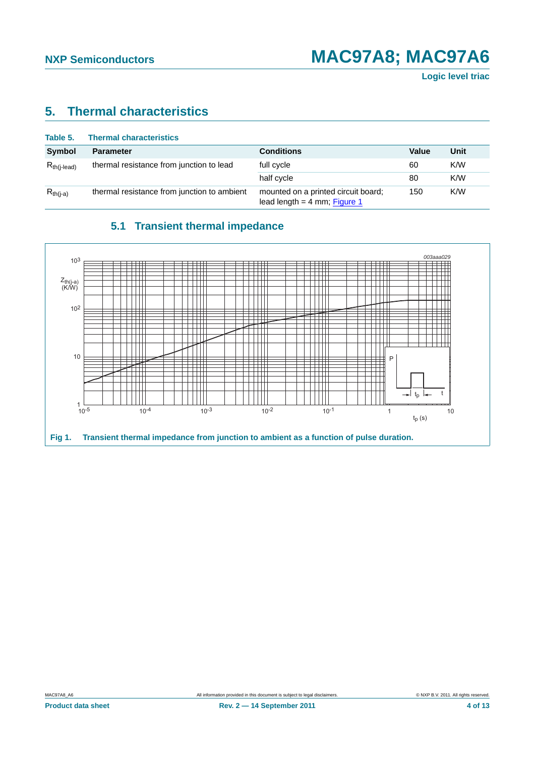# <span id="page-3-1"></span>**5. Thermal characteristics**

| Table 5.         | <b>Thermal characteristics</b>              |                                                                                |       |      |
|------------------|---------------------------------------------|--------------------------------------------------------------------------------|-------|------|
| Symbol           | <b>Parameter</b>                            | <b>Conditions</b>                                                              | Value | Unit |
| $R_{th(i-lead)}$ | thermal resistance from junction to lead    | full cycle                                                                     | 60    | K/W  |
|                  |                                             | half cycle                                                                     | 80    | K/W  |
| $R_{th(i-a)}$    | thermal resistance from junction to ambient | mounted on a printed circuit board;<br>lead length = $4 \text{ mm}$ ; Figure 1 | 150   | K/W  |

## **5.1 Transient thermal impedance**

<span id="page-3-2"></span><span id="page-3-0"></span>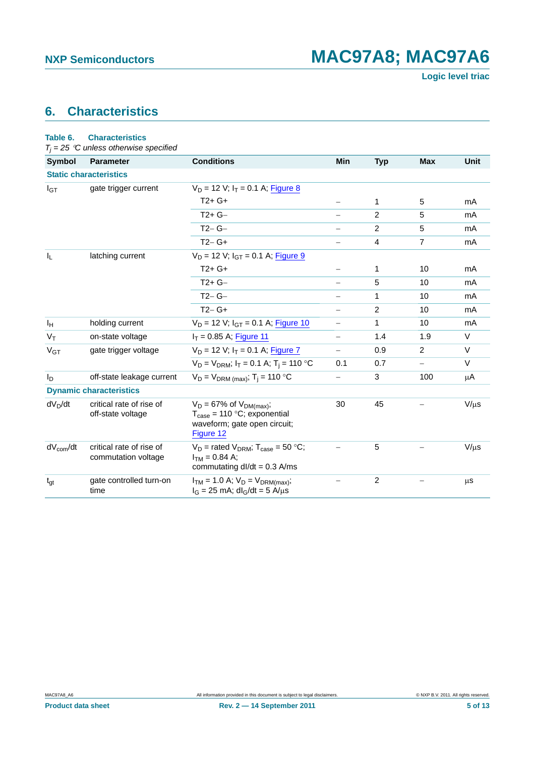# <span id="page-4-0"></span>**6. Characteristics**

| Table 6.         | <b>Characteristics</b><br>$T_i = 25$ °C unless otherwise specified |                                                                                                                                  |                          |                |                |           |
|------------------|--------------------------------------------------------------------|----------------------------------------------------------------------------------------------------------------------------------|--------------------------|----------------|----------------|-----------|
| <b>Symbol</b>    | <b>Parameter</b>                                                   | <b>Conditions</b>                                                                                                                | Min                      | <b>Typ</b>     | <b>Max</b>     | Unit      |
|                  | <b>Static characteristics</b>                                      |                                                                                                                                  |                          |                |                |           |
| $I_{GT}$         | gate trigger current                                               | $V_D = 12 V$ ; $I_T = 0.1 A$ ; Figure 8                                                                                          |                          |                |                |           |
|                  |                                                                    | $T2+G+$                                                                                                                          |                          | 1              | 5              | mA        |
|                  |                                                                    | $T2+G-$                                                                                                                          |                          | 2              | 5              | mA        |
|                  |                                                                    | $T2 - G -$                                                                                                                       |                          | $\overline{c}$ | 5              | mA        |
|                  |                                                                    | $T2 - G+$                                                                                                                        |                          | $\overline{4}$ | $\overline{7}$ | mA        |
| $I_{\mathsf{L}}$ | latching current                                                   | $V_D = 12 V$ ; $I_{GT} = 0.1 A$ ; Figure 9                                                                                       |                          |                |                |           |
|                  |                                                                    | $T2+G+$                                                                                                                          | $\overline{\phantom{0}}$ | 1              | 10             | mA        |
|                  |                                                                    | $T2+G-$                                                                                                                          | —                        | 5              | 10             | mA        |
|                  |                                                                    | $T2-G-$                                                                                                                          |                          | 1              | 10             | mA        |
|                  |                                                                    | $T2 - G+$                                                                                                                        | $\qquad \qquad -$        | $\overline{2}$ | 10             | mA        |
| ΙH               | holding current                                                    | $V_D = 12 V$ ; $I_{GT} = 0.1 A$ ; Figure 10                                                                                      | $\overline{\phantom{0}}$ | 1              | 10             | mA        |
| $V_T$            | on-state voltage                                                   | $I_T = 0.85$ A; Figure 11                                                                                                        | $\overline{\phantom{0}}$ | 1.4            | 1.9            | V         |
| $V_{GT}$         | gate trigger voltage                                               | $V_D = 12 V$ ; $I_T = 0.1 A$ ; Figure 7                                                                                          | $\overline{\phantom{0}}$ | 0.9            | $\overline{2}$ | V         |
|                  |                                                                    | $V_D = V_{DRM}$ ; $I_T = 0.1$ A; $T_i = 110$ °C                                                                                  | 0.1                      | 0.7            | $\equiv$       | V         |
| ΙD               | off-state leakage current                                          | $V_D = V_{DRM (max)}$ ; T <sub>i</sub> = 110 °C                                                                                  | $\qquad \qquad -$        | 3              | 100            | μA        |
|                  | <b>Dynamic characteristics</b>                                     |                                                                                                                                  |                          |                |                |           |
| $dV_D/dt$        | critical rate of rise of<br>off-state voltage                      | $V_D = 67\%$ of $V_{DM(max)}$ ;<br>$T_{\text{case}} = 110 \text{ °C}$ ; exponential<br>waveform; gate open circuit;<br>Figure 12 | 30                       | 45             |                | $V/\mu s$ |
| $dV_{com}/dt$    | critical rate of rise of<br>commutation voltage                    | $V_D$ = rated $V_{DRM}$ ; T <sub>case</sub> = 50 °C;<br>$I_{TM} = 0.84$ A;<br>commutating $dl/dt = 0.3$ A/ms                     |                          | 5              |                | $V/\mu s$ |
| $t_{gt}$         | gate controlled turn-on<br>time                                    | $I_{TM}$ = 1.0 A; $V_D = V_{DRM(max)}$ ;<br>$I_G = 25$ mA; dl <sub>G</sub> /dt = 5 A/µs                                          |                          | $\overline{2}$ |                | μS        |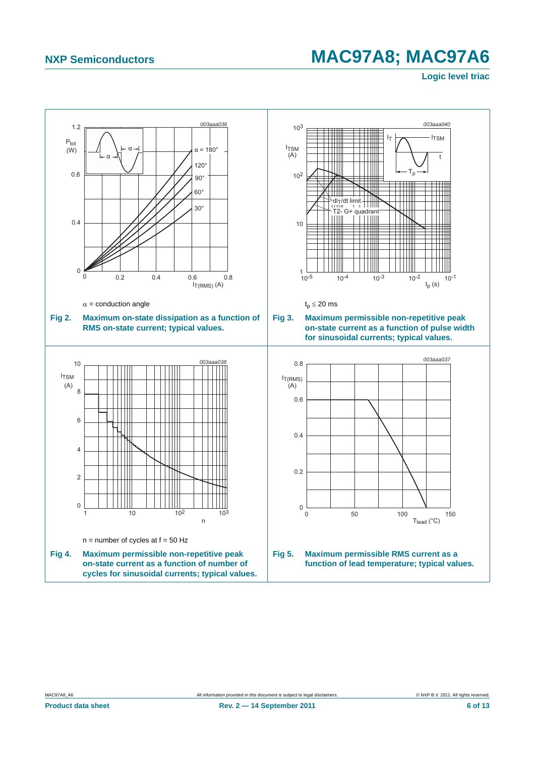<span id="page-5-0"></span>**Logic level triac**

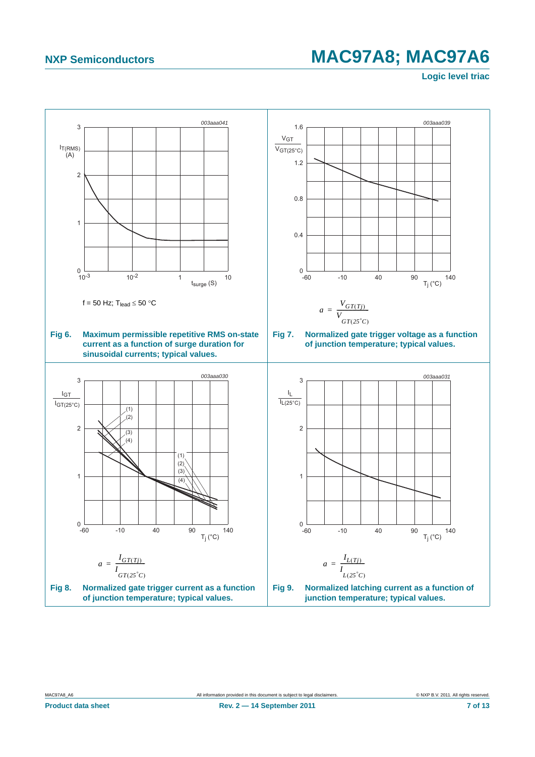<span id="page-6-2"></span><span id="page-6-1"></span>**Logic level triac**

<span id="page-6-0"></span>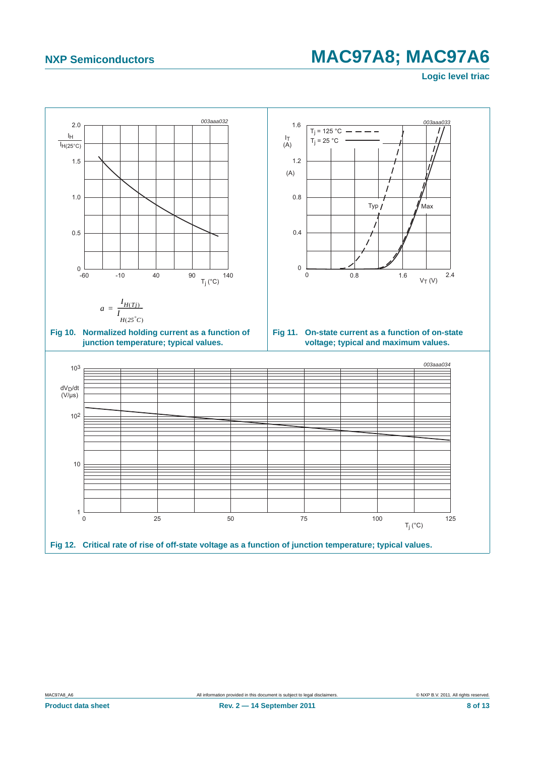<span id="page-7-1"></span>**Logic level triac**

<span id="page-7-2"></span><span id="page-7-0"></span>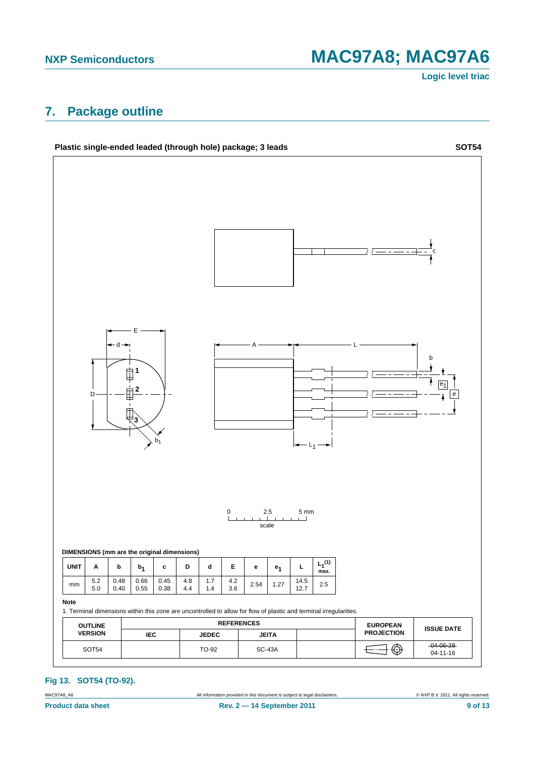**Logic level triac**

## <span id="page-8-0"></span>**7. Package outline**



### **Fig 13. SOT54 (TO-92).**

MAC97A8\_A6 All information provided in this document is subject to legal disclaimers. © NXP B.V. 2011. All rights reserved.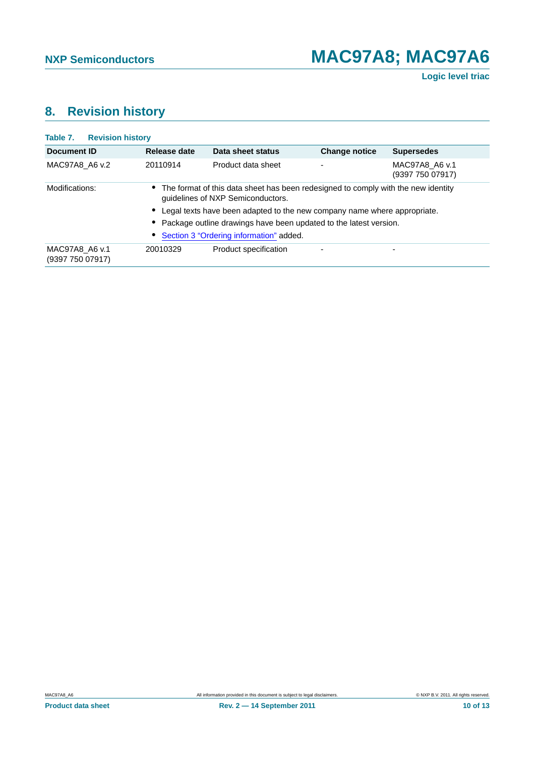# <span id="page-9-0"></span>**8. Revision history**

| Table 7.                           | <b>Revision history</b> |                                                                                                                          |                      |                                    |  |  |
|------------------------------------|-------------------------|--------------------------------------------------------------------------------------------------------------------------|----------------------|------------------------------------|--|--|
| Document ID                        | Release date            | Data sheet status                                                                                                        | <b>Change notice</b> | <b>Supersedes</b>                  |  |  |
| MAC97A8 A6 v.2                     | 20110914                | Product data sheet                                                                                                       | ۰                    | MAC97A8 A6 v.1<br>(9397 750 07917) |  |  |
| Modifications:                     |                         | • The format of this data sheet has been redesigned to comply with the new identity<br>guidelines of NXP Semiconductors. |                      |                                    |  |  |
|                                    | $\bullet$               | Legal texts have been adapted to the new company name where appropriate.                                                 |                      |                                    |  |  |
|                                    |                         | Package outline drawings have been updated to the latest version.                                                        |                      |                                    |  |  |
|                                    |                         | Section 3 "Ordering information" added.                                                                                  |                      |                                    |  |  |
| MAC97A8_A6 v.1<br>(9397 750 07917) | 20010329                | Product specification                                                                                                    | -                    | ٠                                  |  |  |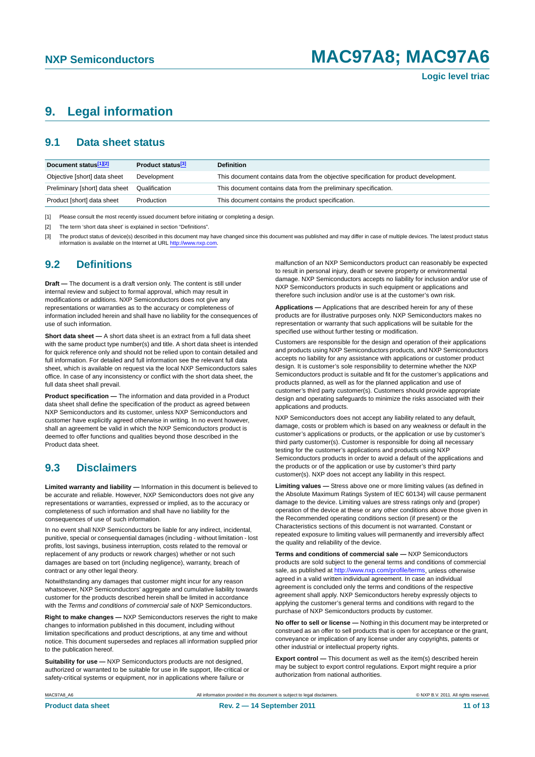## <span id="page-10-0"></span>**9. Legal information**

### <span id="page-10-1"></span>**9.1 Data sheet status**

| Document status[1][2]          | Product status <sup>[3]</sup> | <b>Definition</b>                                                                     |
|--------------------------------|-------------------------------|---------------------------------------------------------------------------------------|
| Objective [short] data sheet   | Development                   | This document contains data from the objective specification for product development. |
| Preliminary [short] data sheet | Qualification                 | This document contains data from the preliminary specification.                       |
| Product [short] data sheet     | Production                    | This document contains the product specification.                                     |

[1] Please consult the most recently issued document before initiating or completing a design.

[2] The term 'short data sheet' is explained in section "Definitions".

[3] The product status of device(s) described in this document may have changed since this document was published and may differ in case of multiple devices. The latest product status<br>information is available on the Intern

### <span id="page-10-2"></span>**9.2 Definitions**

**Draft —** The document is a draft version only. The content is still under internal review and subject to formal approval, which may result in modifications or additions. NXP Semiconductors does not give any representations or warranties as to the accuracy or completeness of information included herein and shall have no liability for the consequences of use of such information.

**Short data sheet —** A short data sheet is an extract from a full data sheet with the same product type number(s) and title. A short data sheet is intended for quick reference only and should not be relied upon to contain detailed and full information. For detailed and full information see the relevant full data sheet, which is available on request via the local NXP Semiconductors sales office. In case of any inconsistency or conflict with the short data sheet, the full data sheet shall prevail.

**Product specification —** The information and data provided in a Product data sheet shall define the specification of the product as agreed between NXP Semiconductors and its customer, unless NXP Semiconductors and customer have explicitly agreed otherwise in writing. In no event however, shall an agreement be valid in which the NXP Semiconductors product is deemed to offer functions and qualities beyond those described in the Product data sheet.

### <span id="page-10-3"></span>**9.3 Disclaimers**

**Limited warranty and liability —** Information in this document is believed to be accurate and reliable. However, NXP Semiconductors does not give any representations or warranties, expressed or implied, as to the accuracy or completeness of such information and shall have no liability for the consequences of use of such information.

In no event shall NXP Semiconductors be liable for any indirect, incidental, punitive, special or consequential damages (including - without limitation - lost profits, lost savings, business interruption, costs related to the removal or replacement of any products or rework charges) whether or not such damages are based on tort (including negligence), warranty, breach of contract or any other legal theory.

Notwithstanding any damages that customer might incur for any reason whatsoever, NXP Semiconductors' aggregate and cumulative liability towards customer for the products described herein shall be limited in accordance with the *Terms and conditions of commercial sale* of NXP Semiconductors.

**Right to make changes —** NXP Semiconductors reserves the right to make changes to information published in this document, including without limitation specifications and product descriptions, at any time and without notice. This document supersedes and replaces all information supplied prior to the publication hereof.

**Suitability for use —** NXP Semiconductors products are not designed, authorized or warranted to be suitable for use in life support, life-critical or safety-critical systems or equipment, nor in applications where failure or

malfunction of an NXP Semiconductors product can reasonably be expected to result in personal injury, death or severe property or environmental damage. NXP Semiconductors accepts no liability for inclusion and/or use of NXP Semiconductors products in such equipment or applications and therefore such inclusion and/or use is at the customer's own risk.

**Applications —** Applications that are described herein for any of these products are for illustrative purposes only. NXP Semiconductors makes no representation or warranty that such applications will be suitable for the specified use without further testing or modification.

Customers are responsible for the design and operation of their applications and products using NXP Semiconductors products, and NXP Semiconductors accepts no liability for any assistance with applications or customer product design. It is customer's sole responsibility to determine whether the NXP Semiconductors product is suitable and fit for the customer's applications and products planned, as well as for the planned application and use of customer's third party customer(s). Customers should provide appropriate design and operating safeguards to minimize the risks associated with their applications and products.

NXP Semiconductors does not accept any liability related to any default, damage, costs or problem which is based on any weakness or default in the customer's applications or products, or the application or use by customer's third party customer(s). Customer is responsible for doing all necessary testing for the customer's applications and products using NXP Semiconductors products in order to avoid a default of the applications and the products or of the application or use by customer's third party customer(s). NXP does not accept any liability in this respect.

**Limiting values —** Stress above one or more limiting values (as defined in the Absolute Maximum Ratings System of IEC 60134) will cause permanent damage to the device. Limiting values are stress ratings only and (proper) operation of the device at these or any other conditions above those given in the Recommended operating conditions section (if present) or the Characteristics sections of this document is not warranted. Constant or repeated exposure to limiting values will permanently and irreversibly affect the quality and reliability of the device.

**Terms and conditions of commercial sale —** NXP Semiconductors products are sold subject to the general terms and conditions of commercial sale, as published at<http://www.nxp.com/profile/terms>, unless otherwise agreed in a valid written individual agreement. In case an individual agreement is concluded only the terms and conditions of the respective agreement shall apply. NXP Semiconductors hereby expressly objects to applying the customer's general terms and conditions with regard to the purchase of NXP Semiconductors products by customer.

**No offer to sell or license —** Nothing in this document may be interpreted or construed as an offer to sell products that is open for acceptance or the grant, conveyance or implication of any license under any copyrights, patents or other industrial or intellectual property rights.

**Export control —** This document as well as the item(s) described herein may be subject to export control regulations. Export might require a prior authorization from national authorities.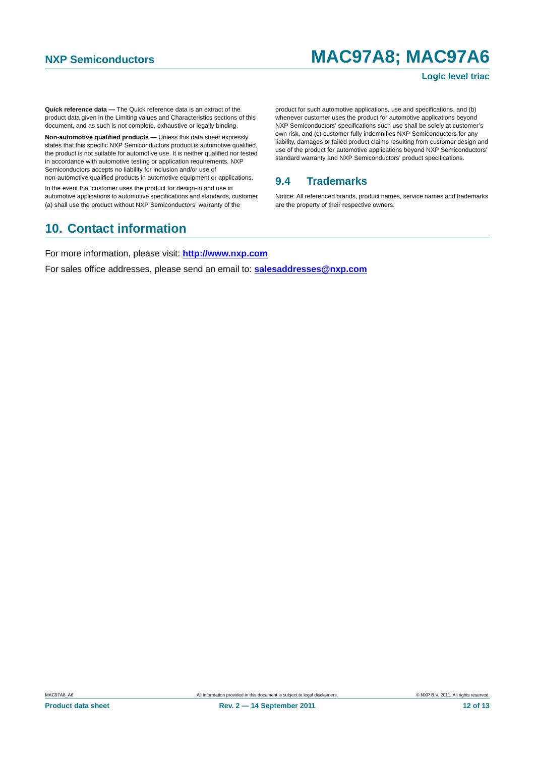### **Logic level triac**

**Quick reference data —** The Quick reference data is an extract of the product data given in the Limiting values and Characteristics sections of this document, and as such is not complete, exhaustive or legally binding.

**Non-automotive qualified products —** Unless this data sheet expressly states that this specific NXP Semiconductors product is automotive qualified, the product is not suitable for automotive use. It is neither qualified nor tested in accordance with automotive testing or application requirements. NXP Semiconductors accepts no liability for inclusion and/or use of non-automotive qualified products in automotive equipment or applications.

In the event that customer uses the product for design-in and use in automotive applications to automotive specifications and standards, customer (a) shall use the product without NXP Semiconductors' warranty of the

## <span id="page-11-1"></span>**10. Contact information**

product for such automotive applications, use and specifications, and (b) whenever customer uses the product for automotive applications beyond NXP Semiconductors' specifications such use shall be solely at customer's own risk, and (c) customer fully indemnifies NXP Semiconductors for any liability, damages or failed product claims resulting from customer design and use of the product for automotive applications beyond NXP Semiconductors' standard warranty and NXP Semiconductors' product specifications.

### <span id="page-11-0"></span>**9.4 Trademarks**

Notice: All referenced brands, product names, service names and trademarks are the property of their respective owners.

For more information, please visit: **http://www.nxp.com**

For sales office addresses, please send an email to: **salesaddresses@nxp.com**